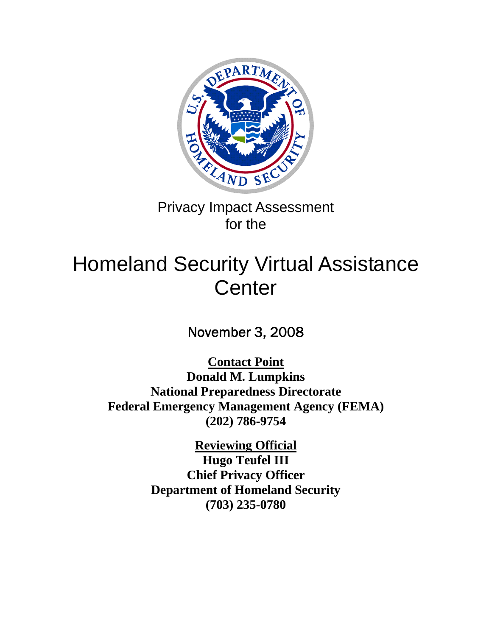

Privacy Impact Assessment for the

# Homeland Security Virtual Assistance **Center**

November 3, 2008

**Contact Point Donald M. Lumpkins National Preparedness Directorate Federal Emergency Management Agency (FEMA) (202) 786-9754** 

> **Reviewing Official Hugo Teufel III Chief Privacy Officer Department of Homeland Security (703) 235-0780**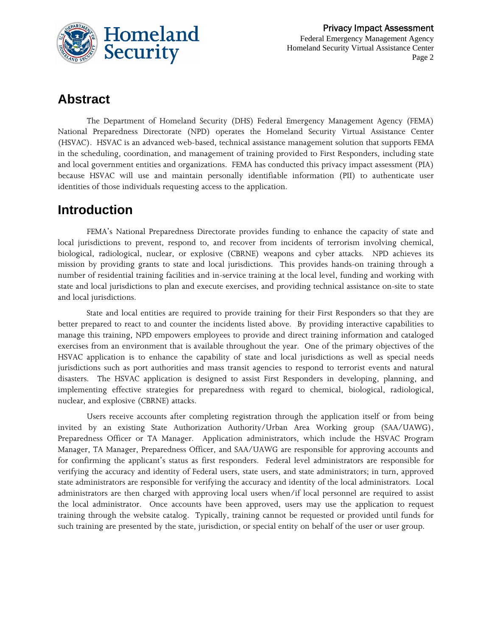

### **Abstract**

The Department of Homeland Security (DHS) Federal Emergency Management Agency (FEMA) National Preparedness Directorate (NPD) operates the Homeland Security Virtual Assistance Center (HSVAC). HSVAC is an advanced web-based, technical assistance management solution that supports FEMA in the scheduling, coordination, and management of training provided to First Responders, including state and local government entities and organizations. FEMA has conducted this privacy impact assessment (PIA) because HSVAC will use and maintain personally identifiable information (PII) to authenticate user identities of those individuals requesting access to the application.

### **Introduction**

FEMA's National Preparedness Directorate provides funding to enhance the capacity of state and local jurisdictions to prevent, respond to, and recover from incidents of terrorism involving chemical, biological, radiological, nuclear, or explosive (CBRNE) weapons and cyber attacks. NPD achieves its mission by providing grants to state and local jurisdictions. This provides hands-on training through a number of residential training facilities and in-service training at the local level, funding and working with state and local jurisdictions to plan and execute exercises, and providing technical assistance on-site to state and local jurisdictions.

State and local entities are required to provide training for their First Responders so that they are better prepared to react to and counter the incidents listed above. By providing interactive capabilities to manage this training, NPD empowers employees to provide and direct training information and cataloged exercises from an environment that is available throughout the year. One of the primary objectives of the HSVAC application is to enhance the capability of state and local jurisdictions as well as special needs jurisdictions such as port authorities and mass transit agencies to respond to terrorist events and natural disasters. The HSVAC application is designed to assist First Responders in developing, planning, and implementing effective strategies for preparedness with regard to chemical, biological, radiological, nuclear, and explosive (CBRNE) attacks.

Users receive accounts after completing registration through the application itself or from being invited by an existing State Authorization Authority/Urban Area Working group (SAA/UAWG), Preparedness Officer or TA Manager. Application administrators, which include the HSVAC Program Manager, TA Manager, Preparedness Officer, and SAA/UAWG are responsible for approving accounts and for confirming the applicant's status as first responders. Federal level administrators are responsible for verifying the accuracy and identity of Federal users, state users, and state administrators; in turn, approved state administrators are responsible for verifying the accuracy and identity of the local administrators. Local administrators are then charged with approving local users when/if local personnel are required to assist the local administrator. Once accounts have been approved, users may use the application to request training through the website catalog. Typically, training cannot be requested or provided until funds for such training are presented by the state, jurisdiction, or special entity on behalf of the user or user group.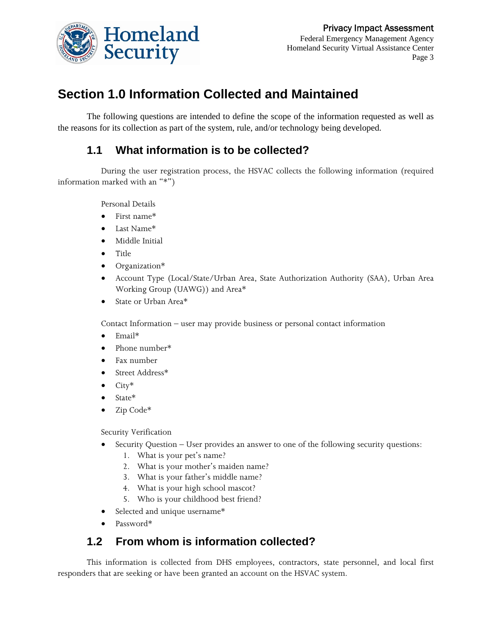

Federal Emergency Management Agency Homeland Security Virtual Assistance Center Page 3

# **Section 1.0 Information Collected and Maintained**

The following questions are intended to define the scope of the information requested as well as the reasons for its collection as part of the system, rule, and/or technology being developed.

### **1.1 What information is to be collected?**

During the user registration process, the HSVAC collects the following information (required information marked with an "\*")

Personal Details

- First name\*
- Last Name\*
- Middle Initial
- Title
- Organization\*
- Account Type (Local/State/Urban Area, State Authorization Authority (SAA), Urban Area Working Group (UAWG)) and Area\*
- State or Urban Area\*

Contact Information – user may provide business or personal contact information

- Email\*
- Phone number\*
- Fax number
- Street Address\*
- $\bullet$  City\*
- State\*
- Zip Code\*

Security Verification

- Security Question User provides an answer to one of the following security questions:
	- 1. What is your pet's name?
	- 2. What is your mother's maiden name?
	- 3. What is your father's middle name?
	- 4. What is your high school mascot?
	- 5. Who is your childhood best friend?
- Selected and unique username\*
- Password\*

### **1.2 From whom is information collected?**

This information is collected from DHS employees, contractors, state personnel, and local first responders that are seeking or have been granted an account on the HSVAC system.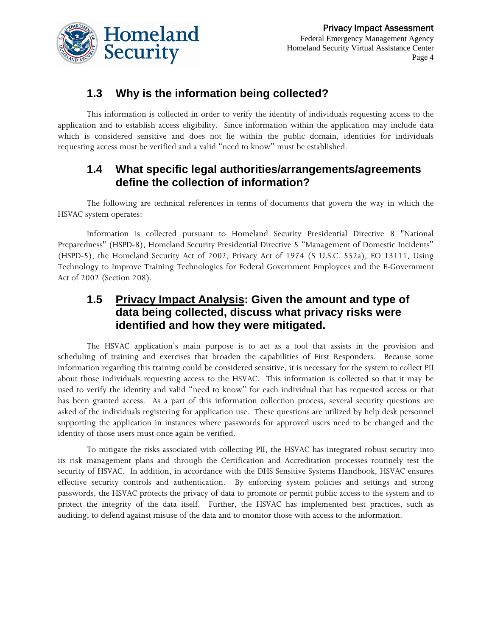

Federal Emergency Management Agency Homeland Security Virtual Assistance Center Page 4

### **1.3 Why is the information being collected?**

This information is collected in order to verify the identity of individuals requesting access to the application and to establish access eligibility. Since information within the application may include data which is considered sensitive and does not lie within the public domain, identities for individuals requesting access must be verified and a valid "need to know" must be established.

### **1.4 What specific legal authorities/arrangements/agreements define the collection of information?**

The following are technical references in terms of documents that govern the way in which the HSVAC system operates:

Information is collected pursuant to Homeland Security Presidential Directive 8 "National Preparedness" (HSPD-8), Homeland Security Presidential Directive 5 "Management of Domestic Incidents" (HSPD-5), the Homeland Security Act of 2002, Privacy Act of 1974 (5 U.S.C. 552a), EO 13111, Using Technology to Improve Training Technologies for Federal Government Employees and the E-Government Act of 2002 (Section 208).

### **1.5 Privacy Impact Analysis: Given the amount and type of data being collected, discuss what privacy risks were identified and how they were mitigated.**

The HSVAC application's main purpose is to act as a tool that assists in the provision and scheduling of training and exercises that broaden the capabilities of First Responders. Because some information regarding this training could be considered sensitive, it is necessary for the system to collect PII about those individuals requesting access to the HSVAC. This information is collected so that it may be used to verify the identity and valid "need to know" for each individual that has requested access or that has been granted access. As a part of this information collection process, several security questions are asked of the individuals registering for application use. These questions are utilized by help desk personnel supporting the application in instances where passwords for approved users need to be changed and the identity of those users must once again be verified.

To mitigate the risks associated with collecting PII, the HSVAC has integrated robust security into its risk management plans and through the Certification and Accreditation processes routinely test the security of HSVAC. In addition, in accordance with the DHS Sensitive Systems Handbook, HSVAC ensures effective security controls and authentication. By enforcing system policies and settings and strong passwords, the HSVAC protects the privacy of data to promote or permit public access to the system and to protect the integrity of the data itself. Further, the HSVAC has implemented best practices, such as auditing, to defend against misuse of the data and to monitor those with access to the information.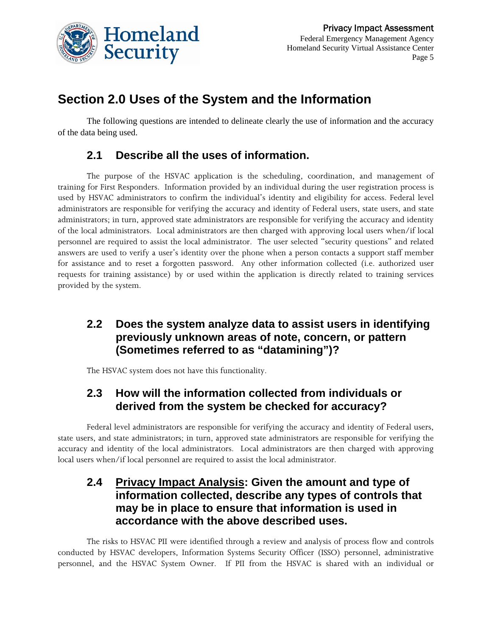

# **Section 2.0 Uses of the System and the Information**

The following questions are intended to delineate clearly the use of information and the accuracy of the data being used.

### **2.1 Describe all the uses of information.**

The purpose of the HSVAC application is the scheduling, coordination, and management of training for First Responders. Information provided by an individual during the user registration process is used by HSVAC administrators to confirm the individual's identity and eligibility for access. Federal level administrators are responsible for verifying the accuracy and identity of Federal users, state users, and state administrators; in turn, approved state administrators are responsible for verifying the accuracy and identity of the local administrators. Local administrators are then charged with approving local users when/if local personnel are required to assist the local administrator. The user selected "security questions" and related answers are used to verify a user's identity over the phone when a person contacts a support staff member for assistance and to reset a forgotten password. Any other information collected (i.e. authorized user requests for training assistance) by or used within the application is directly related to training services provided by the system.

### **2.2 Does the system analyze data to assist users in identifying previously unknown areas of note, concern, or pattern (Sometimes referred to as "datamining")?**

The HSVAC system does not have this functionality.

### **2.3 How will the information collected from individuals or derived from the system be checked for accuracy?**

Federal level administrators are responsible for verifying the accuracy and identity of Federal users, state users, and state administrators; in turn, approved state administrators are responsible for verifying the accuracy and identity of the local administrators. Local administrators are then charged with approving local users when/if local personnel are required to assist the local administrator.

### **2.4 Privacy Impact Analysis: Given the amount and type of information collected, describe any types of controls that may be in place to ensure that information is used in accordance with the above described uses.**

The risks to HSVAC PII were identified through a review and analysis of process flow and controls conducted by HSVAC developers, Information Systems Security Officer (ISSO) personnel, administrative personnel, and the HSVAC System Owner. If PII from the HSVAC is shared with an individual or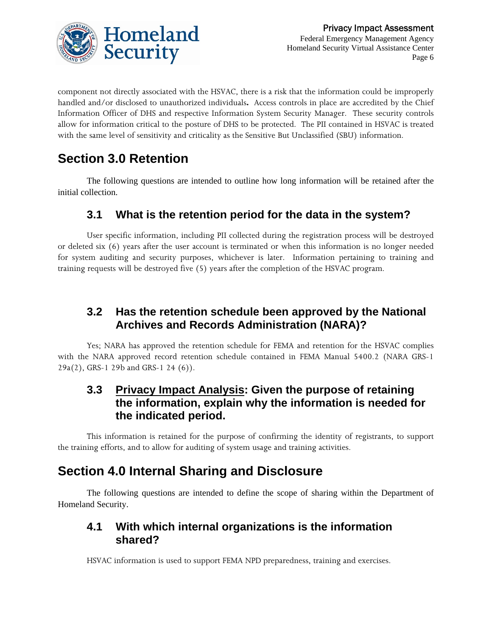

component not directly associated with the HSVAC, there is a risk that the information could be improperly handled and/or disclosed to unauthorized individuals**.** Access controls in place are accredited by the Chief Information Officer of DHS and respective Information System Security Manager. These security controls allow for information critical to the posture of DHS to be protected. The PII contained in HSVAC is treated with the same level of sensitivity and criticality as the Sensitive But Unclassified (SBU) information.

# **Section 3.0 Retention**

The following questions are intended to outline how long information will be retained after the initial collection.

### **3.1 What is the retention period for the data in the system?**

User specific information, including PII collected during the registration process will be destroyed or deleted six (6) years after the user account is terminated or when this information is no longer needed for system auditing and security purposes, whichever is later. Information pertaining to training and training requests will be destroyed five (5) years after the completion of the HSVAC program.

### **3.2 Has the retention schedule been approved by the National Archives and Records Administration (NARA)?**

Yes; NARA has approved the retention schedule for FEMA and retention for the HSVAC complies with the NARA approved record retention schedule contained in FEMA Manual 5400.2 (NARA GRS-1 29a(2), GRS-1 29b and GRS-1 24 (6)).

### **3.3 Privacy Impact Analysis: Given the purpose of retaining the information, explain why the information is needed for the indicated period.**

This information is retained for the purpose of confirming the identity of registrants, to support the training efforts, and to allow for auditing of system usage and training activities.

### **Section 4.0 Internal Sharing and Disclosure**

The following questions are intended to define the scope of sharing within the Department of Homeland Security.

### **4.1 With which internal organizations is the information shared?**

HSVAC information is used to support FEMA NPD preparedness, training and exercises.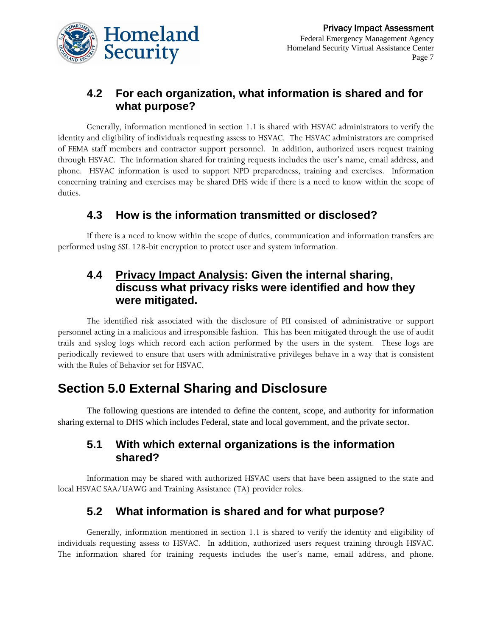

### **4.2 For each organization, what information is shared and for what purpose?**

Generally, information mentioned in section 1.1 is shared with HSVAC administrators to verify the identity and eligibility of individuals requesting assess to HSVAC. The HSVAC administrators are comprised of FEMA staff members and contractor support personnel. In addition, authorized users request training through HSVAC. The information shared for training requests includes the user's name, email address, and phone. HSVAC information is used to support NPD preparedness, training and exercises. Information concerning training and exercises may be shared DHS wide if there is a need to know within the scope of duties.

### **4.3 How is the information transmitted or disclosed?**

If there is a need to know within the scope of duties, communication and information transfers are performed using SSL 128-bit encryption to protect user and system information.

### **4.4 Privacy Impact Analysis: Given the internal sharing, discuss what privacy risks were identified and how they were mitigated.**

The identified risk associated with the disclosure of PII consisted of administrative or support personnel acting in a malicious and irresponsible fashion. This has been mitigated through the use of audit trails and syslog logs which record each action performed by the users in the system. These logs are periodically reviewed to ensure that users with administrative privileges behave in a way that is consistent with the Rules of Behavior set for HSVAC.

### **Section 5.0 External Sharing and Disclosure**

The following questions are intended to define the content, scope, and authority for information sharing external to DHS which includes Federal, state and local government, and the private sector.

### **5.1 With which external organizations is the information shared?**

Information may be shared with authorized HSVAC users that have been assigned to the state and local HSVAC SAA/UAWG and Training Assistance (TA) provider roles.

### **5.2 What information is shared and for what purpose?**

Generally, information mentioned in section 1.1 is shared to verify the identity and eligibility of individuals requesting assess to HSVAC. In addition, authorized users request training through HSVAC. The information shared for training requests includes the user's name, email address, and phone.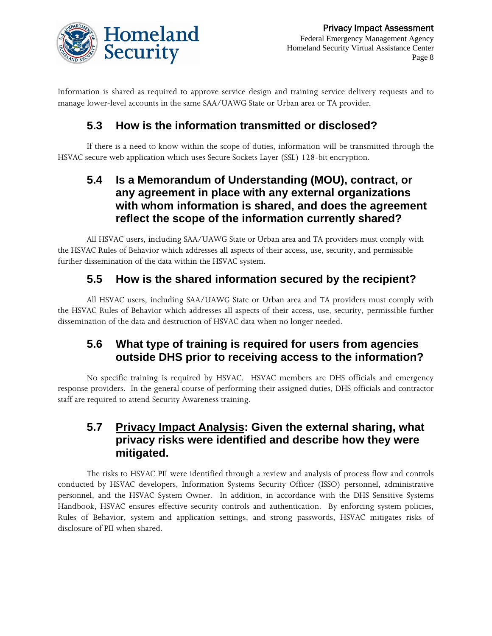

Information is shared as required to approve service design and training service delivery requests and to manage lower-level accounts in the same SAA/UAWG State or Urban area or TA provider.

### **5.3 How is the information transmitted or disclosed?**

If there is a need to know within the scope of duties, information will be transmitted through the HSVAC secure web application which uses Secure Sockets Layer (SSL) 128-bit encryption.

### **5.4 Is a Memorandum of Understanding (MOU), contract, or any agreement in place with any external organizations with whom information is shared, and does the agreement reflect the scope of the information currently shared?**

All HSVAC users, including SAA/UAWG State or Urban area and TA providers must comply with the HSVAC Rules of Behavior which addresses all aspects of their access, use, security, and permissible further dissemination of the data within the HSVAC system.

### **5.5 How is the shared information secured by the recipient?**

All HSVAC users, including SAA/UAWG State or Urban area and TA providers must comply with the HSVAC Rules of Behavior which addresses all aspects of their access, use, security, permissible further dissemination of the data and destruction of HSVAC data when no longer needed.

### **5.6 What type of training is required for users from agencies outside DHS prior to receiving access to the information?**

No specific training is required by HSVAC. HSVAC members are DHS officials and emergency response providers. In the general course of performing their assigned duties, DHS officials and contractor staff are required to attend Security Awareness training.

### **5.7 Privacy Impact Analysis: Given the external sharing, what privacy risks were identified and describe how they were mitigated.**

The risks to HSVAC PII were identified through a review and analysis of process flow and controls conducted by HSVAC developers, Information Systems Security Officer (ISSO) personnel, administrative personnel, and the HSVAC System Owner. In addition, in accordance with the DHS Sensitive Systems Handbook, HSVAC ensures effective security controls and authentication. By enforcing system policies, Rules of Behavior, system and application settings, and strong passwords, HSVAC mitigates risks of disclosure of PII when shared.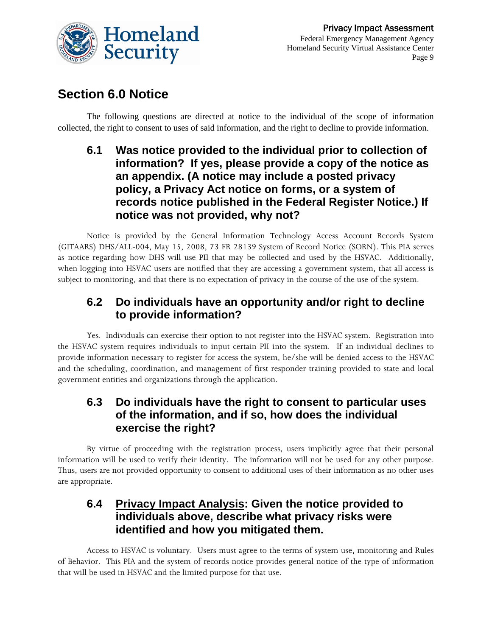

### **Section 6.0 Notice**

The following questions are directed at notice to the individual of the scope of information collected, the right to consent to uses of said information, and the right to decline to provide information.

### **6.1 Was notice provided to the individual prior to collection of information? If yes, please provide a copy of the notice as an appendix. (A notice may include a posted privacy policy, a Privacy Act notice on forms, or a system of records notice published in the Federal Register Notice.) If notice was not provided, why not?**

Notice is provided by the General Information Technology Access Account Records System (GITAARS) DHS/ALL-004, May 15, 2008, 73 FR 28139 System of Record Notice (SORN). This PIA serves as notice regarding how DHS will use PII that may be collected and used by the HSVAC. Additionally, when logging into HSVAC users are notified that they are accessing a government system, that all access is subject to monitoring, and that there is no expectation of privacy in the course of the use of the system.

### **6.2 Do individuals have an opportunity and/or right to decline to provide information?**

Yes. Individuals can exercise their option to not register into the HSVAC system. Registration into the HSVAC system requires individuals to input certain PII into the system. If an individual declines to provide information necessary to register for access the system, he/she will be denied access to the HSVAC and the scheduling, coordination, and management of first responder training provided to state and local government entities and organizations through the application.

### **6.3 Do individuals have the right to consent to particular uses of the information, and if so, how does the individual exercise the right?**

By virtue of proceeding with the registration process, users implicitly agree that their personal information will be used to verify their identity. The information will not be used for any other purpose. Thus, users are not provided opportunity to consent to additional uses of their information as no other uses are appropriate.

### **6.4 Privacy Impact Analysis: Given the notice provided to individuals above, describe what privacy risks were identified and how you mitigated them.**

Access to HSVAC is voluntary. Users must agree to the terms of system use, monitoring and Rules of Behavior. This PIA and the system of records notice provides general notice of the type of information that will be used in HSVAC and the limited purpose for that use.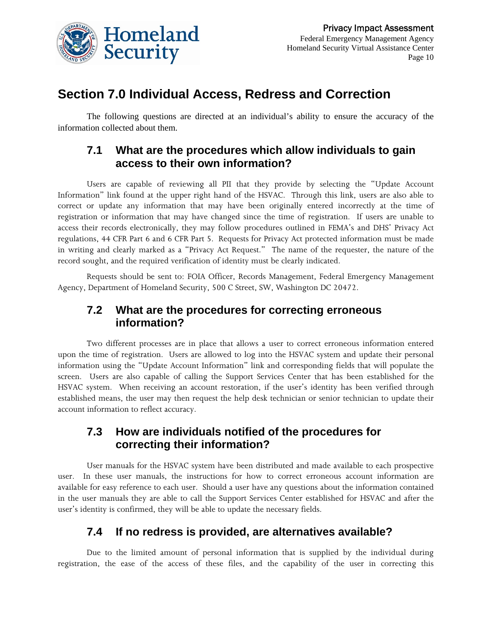

# **Section 7.0 Individual Access, Redress and Correction**

The following questions are directed at an individual's ability to ensure the accuracy of the information collected about them.

### **7.1 What are the procedures which allow individuals to gain access to their own information?**

Users are capable of reviewing all PII that they provide by selecting the "Update Account Information" link found at the upper right hand of the HSVAC. Through this link, users are also able to correct or update any information that may have been originally entered incorrectly at the time of registration or information that may have changed since the time of registration. If users are unable to access their records electronically, they may follow procedures outlined in FEMA's and DHS' Privacy Act regulations, 44 CFR Part 6 and 6 CFR Part 5. Requests for Privacy Act protected information must be made in writing and clearly marked as a "Privacy Act Request." The name of the requester, the nature of the record sought, and the required verification of identity must be clearly indicated.

Requests should be sent to: FOIA Officer, Records Management, Federal Emergency Management Agency, Department of Homeland Security, 500 C Street, SW, Washington DC 20472.

#### **7.2 What are the procedures for correcting erroneous information?**

Two different processes are in place that allows a user to correct erroneous information entered upon the time of registration. Users are allowed to log into the HSVAC system and update their personal information using the "Update Account Information" link and corresponding fields that will populate the screen. Users are also capable of calling the Support Services Center that has been established for the HSVAC system. When receiving an account restoration, if the user's identity has been verified through established means, the user may then request the help desk technician or senior technician to update their account information to reflect accuracy.

### **7.3 How are individuals notified of the procedures for correcting their information?**

User manuals for the HSVAC system have been distributed and made available to each prospective user. In these user manuals, the instructions for how to correct erroneous account information are available for easy reference to each user. Should a user have any questions about the information contained in the user manuals they are able to call the Support Services Center established for HSVAC and after the user's identity is confirmed, they will be able to update the necessary fields.

### **7.4 If no redress is provided, are alternatives available?**

Due to the limited amount of personal information that is supplied by the individual during registration, the ease of the access of these files, and the capability of the user in correcting this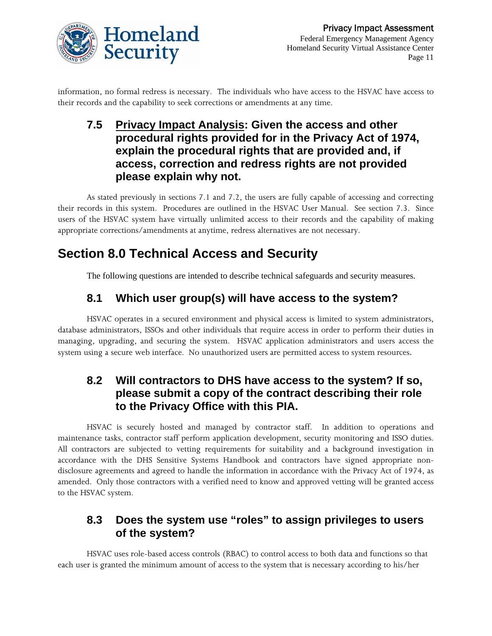

information, no formal redress is necessary. The individuals who have access to the HSVAC have access to their records and the capability to seek corrections or amendments at any time.

**7.5 Privacy Impact Analysis: Given the access and other procedural rights provided for in the Privacy Act of 1974, explain the procedural rights that are provided and, if access, correction and redress rights are not provided please explain why not.** 

As stated previously in sections 7.1 and 7.2, the users are fully capable of accessing and correcting their records in this system. Procedures are outlined in the HSVAC User Manual. See section 7.3. Since users of the HSVAC system have virtually unlimited access to their records and the capability of making appropriate corrections/amendments at anytime, redress alternatives are not necessary.

# **Section 8.0 Technical Access and Security**

The following questions are intended to describe technical safeguards and security measures.

### **8.1 Which user group(s) will have access to the system?**

HSVAC operates in a secured environment and physical access is limited to system administrators, database administrators, ISSOs and other individuals that require access in order to perform their duties in managing, upgrading, and securing the system. HSVAC application administrators and users access the system using a secure web interface. No unauthorized users are permitted access to system resources.

### **8.2 Will contractors to DHS have access to the system? If so, please submit a copy of the contract describing their role to the Privacy Office with this PIA.**

HSVAC is securely hosted and managed by contractor staff. In addition to operations and maintenance tasks, contractor staff perform application development, security monitoring and ISSO duties. All contractors are subjected to vetting requirements for suitability and a background investigation in accordance with the DHS Sensitive Systems Handbook and contractors have signed appropriate nondisclosure agreements and agreed to handle the information in accordance with the Privacy Act of 1974, as amended. Only those contractors with a verified need to know and approved vetting will be granted access to the HSVAC system.

### **8.3 Does the system use "roles" to assign privileges to users of the system?**

HSVAC uses role-based access controls (RBAC) to control access to both data and functions so that each user is granted the minimum amount of access to the system that is necessary according to his/her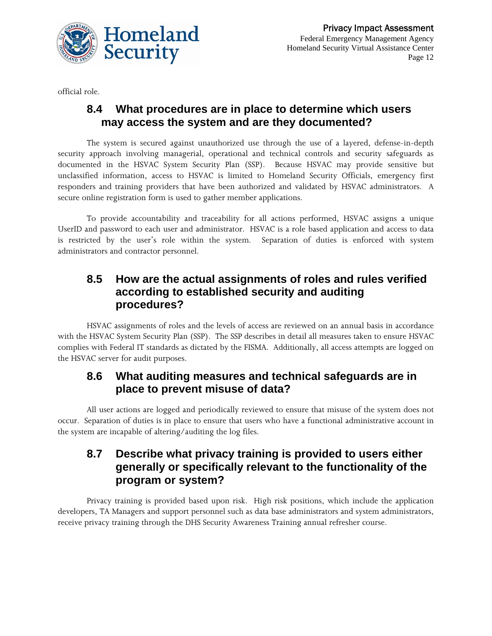

official role.

### **8.4 What procedures are in place to determine which users may access the system and are they documented?**

The system is secured against unauthorized use through the use of a layered, defense-in-depth security approach involving managerial, operational and technical controls and security safeguards as documented in the HSVAC System Security Plan (SSP). Because HSVAC may provide sensitive but unclassified information, access to HSVAC is limited to Homeland Security Officials, emergency first responders and training providers that have been authorized and validated by HSVAC administrators. A secure online registration form is used to gather member applications.

To provide accountability and traceability for all actions performed, HSVAC assigns a unique UserID and password to each user and administrator. HSVAC is a role based application and access to data is restricted by the user's role within the system. Separation of duties is enforced with system administrators and contractor personnel.

#### **8.5 How are the actual assignments of roles and rules verified according to established security and auditing procedures?**

HSVAC assignments of roles and the levels of access are reviewed on an annual basis in accordance with the HSVAC System Security Plan (SSP). The SSP describes in detail all measures taken to ensure HSVAC complies with Federal IT standards as dictated by the FISMA. Additionally, all access attempts are logged on the HSVAC server for audit purposes.

### **8.6 What auditing measures and technical safeguards are in place to prevent misuse of data?**

All user actions are logged and periodically reviewed to ensure that misuse of the system does not occur. Separation of duties is in place to ensure that users who have a functional administrative account in the system are incapable of altering/auditing the log files.

### **8.7 Describe what privacy training is provided to users either generally or specifically relevant to the functionality of the program or system?**

Privacy training is provided based upon risk. High risk positions, which include the application developers, TA Managers and support personnel such as data base administrators and system administrators, receive privacy training through the DHS Security Awareness Training annual refresher course.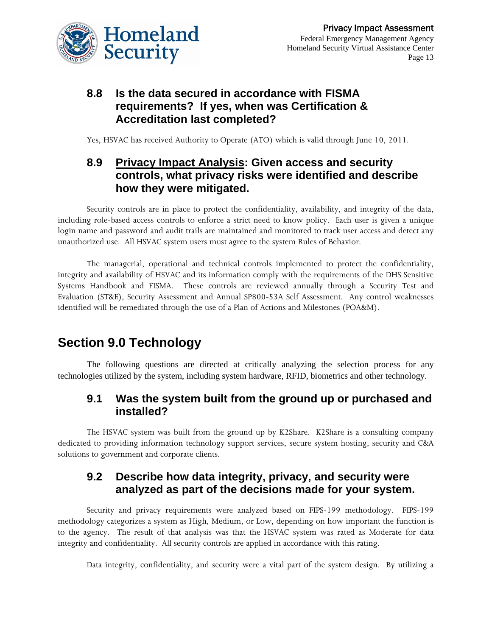

### **8.8 Is the data secured in accordance with FISMA requirements? If yes, when was Certification & Accreditation last completed?**

Yes, HSVAC has received Authority to Operate (ATO) which is valid through June 10, 2011.

### **8.9 Privacy Impact Analysis: Given access and security controls, what privacy risks were identified and describe how they were mitigated.**

Security controls are in place to protect the confidentiality, availability, and integrity of the data, including role-based access controls to enforce a strict need to know policy. Each user is given a unique login name and password and audit trails are maintained and monitored to track user access and detect any unauthorized use. All HSVAC system users must agree to the system Rules of Behavior.

The managerial, operational and technical controls implemented to protect the confidentiality, integrity and availability of HSVAC and its information comply with the requirements of the DHS Sensitive Systems Handbook and FISMA. These controls are reviewed annually through a Security Test and Evaluation (ST&E), Security Assessment and Annual SP800-53A Self Assessment. Any control weaknesses identified will be remediated through the use of a Plan of Actions and Milestones (POA&M).

# **Section 9.0 Technology**

The following questions are directed at critically analyzing the selection process for any technologies utilized by the system, including system hardware, RFID, biometrics and other technology.

### **9.1 Was the system built from the ground up or purchased and installed?**

The HSVAC system was built from the ground up by K2Share. K2Share is a consulting company dedicated to providing information technology support services, secure system hosting, security and C&A solutions to government and corporate clients.

### **9.2 Describe how data integrity, privacy, and security were analyzed as part of the decisions made for your system.**

Security and privacy requirements were analyzed based on FIPS-199 methodology. FIPS-199 methodology categorizes a system as High, Medium, or Low, depending on how important the function is to the agency. The result of that analysis was that the HSVAC system was rated as Moderate for data integrity and confidentiality. All security controls are applied in accordance with this rating.

Data integrity, confidentiality, and security were a vital part of the system design. By utilizing a